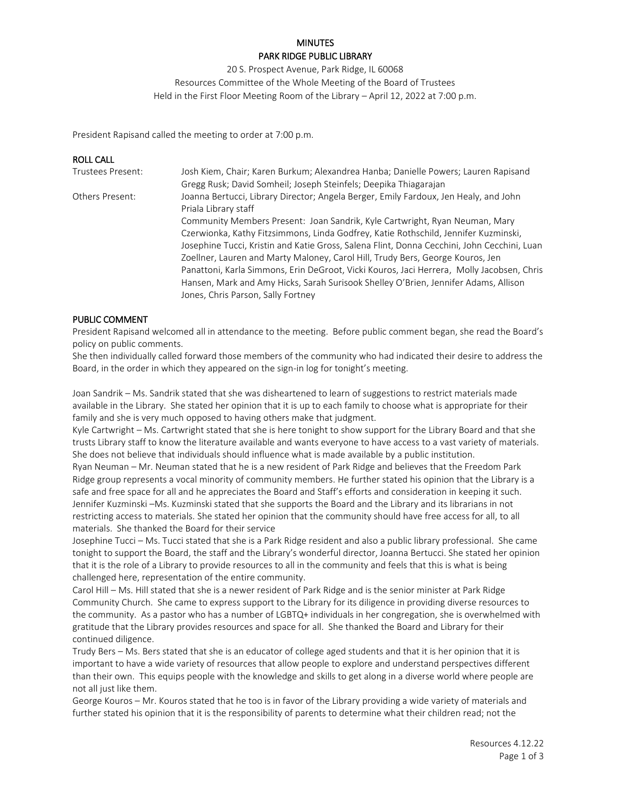# **MINUTES** PARK RIDGE PUBLIC LIBRARY

20 S. Prospect Avenue, Park Ridge, IL 60068 Resources Committee of the Whole Meeting of the Board of Trustees Held in the First Floor Meeting Room of the Library – April 12, 2022 at 7:00 p.m.

President Rapisand called the meeting to order at 7:00 p.m.

### ROLL CALL Trustees Present: Josh Kiem, Chair; Karen Burkum; Alexandrea Hanba; Danielle Powers; Lauren Rapisand Gregg Rusk; David Somheil; Joseph Steinfels; Deepika Thiagarajan Others Present: Joanna Bertucci, Library Director; Angela Berger, Emily Fardoux, Jen Healy, and John Priala Library staff Community Members Present: Joan Sandrik, Kyle Cartwright, Ryan Neuman, Mary Czerwionka, Kathy Fitzsimmons, Linda Godfrey, Katie Rothschild, Jennifer Kuzminski, Josephine Tucci, Kristin and Katie Gross, Salena Flint, Donna Cecchini, John Cecchini, Luan Zoellner, Lauren and Marty Maloney, Carol Hill, Trudy Bers, George Kouros, Jen Panattoni, Karla Simmons, Erin DeGroot, Vicki Kouros, Jaci Herrera, Molly Jacobsen, Chris Hansen, Mark and Amy Hicks, Sarah Surisook Shelley O'Brien, Jennifer Adams, Allison Jones, Chris Parson, Sally Fortney

#### PUBLIC COMMENT

President Rapisand welcomed all in attendance to the meeting. Before public comment began, she read the Board's policy on public comments.

She then individually called forward those members of the community who had indicated their desire to address the Board, in the order in which they appeared on the sign-in log for tonight's meeting.

Joan Sandrik – Ms. Sandrik stated that she was disheartened to learn of suggestions to restrict materials made available in the Library. She stated her opinion that it is up to each family to choose what is appropriate for their family and she is very much opposed to having others make that judgment.

Kyle Cartwright – Ms. Cartwright stated that she is here tonight to show support for the Library Board and that she trusts Library staff to know the literature available and wants everyone to have access to a vast variety of materials. She does not believe that individuals should influence what is made available by a public institution.

Ryan Neuman – Mr. Neuman stated that he is a new resident of Park Ridge and believes that the Freedom Park Ridge group represents a vocal minority of community members. He further stated his opinion that the Library is a safe and free space for all and he appreciates the Board and Staff's efforts and consideration in keeping it such. Jennifer Kuzminski –Ms. Kuzminski stated that she supports the Board and the Library and its librarians in not restricting access to materials. She stated her opinion that the community should have free access for all, to all materials. She thanked the Board for their service

Josephine Tucci – Ms. Tucci stated that she is a Park Ridge resident and also a public library professional. She came tonight to support the Board, the staff and the Library's wonderful director, Joanna Bertucci. She stated her opinion that it is the role of a Library to provide resources to all in the community and feels that this is what is being challenged here, representation of the entire community.

Carol Hill – Ms. Hill stated that she is a newer resident of Park Ridge and is the senior minister at Park Ridge Community Church. She came to express support to the Library for its diligence in providing diverse resources to the community. As a pastor who has a number of LGBTQ+ individuals in her congregation, she is overwhelmed with gratitude that the Library provides resources and space for all. She thanked the Board and Library for their continued diligence.

Trudy Bers – Ms. Bers stated that she is an educator of college aged students and that it is her opinion that it is important to have a wide variety of resources that allow people to explore and understand perspectives different than their own. This equips people with the knowledge and skills to get along in a diverse world where people are not all just like them.

George Kouros – Mr. Kouros stated that he too is in favor of the Library providing a wide variety of materials and further stated his opinion that it is the responsibility of parents to determine what their children read; not the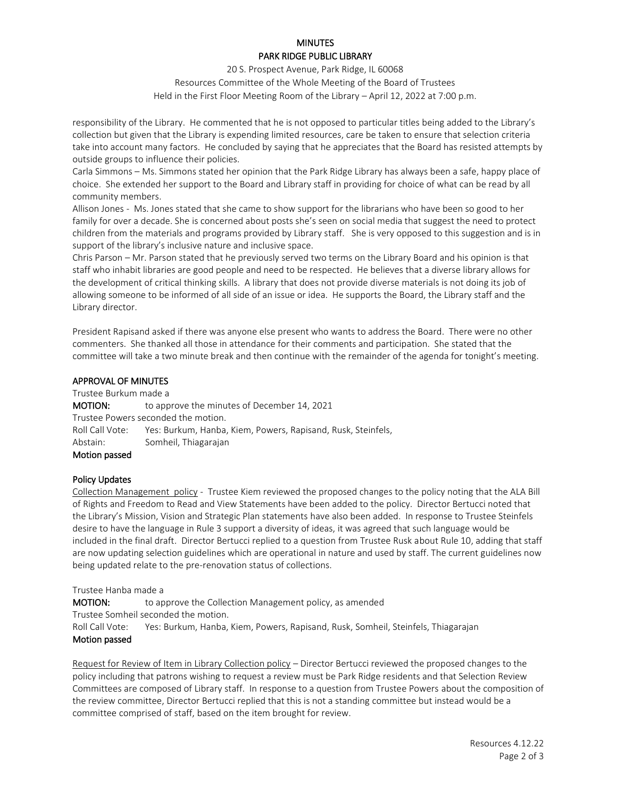# **MINUTES** PARK RIDGE PUBLIC LIBRARY

20 S. Prospect Avenue, Park Ridge, IL 60068 Resources Committee of the Whole Meeting of the Board of Trustees Held in the First Floor Meeting Room of the Library – April 12, 2022 at 7:00 p.m.

responsibility of the Library. He commented that he is not opposed to particular titles being added to the Library's collection but given that the Library is expending limited resources, care be taken to ensure that selection criteria take into account many factors. He concluded by saying that he appreciates that the Board has resisted attempts by outside groups to influence their policies.

Carla Simmons – Ms. Simmons stated her opinion that the Park Ridge Library has always been a safe, happy place of choice. She extended her support to the Board and Library staff in providing for choice of what can be read by all community members.

Allison Jones - Ms. Jones stated that she came to show support for the librarians who have been so good to her family for over a decade. She is concerned about posts she's seen on social media that suggest the need to protect children from the materials and programs provided by Library staff. She is very opposed to this suggestion and is in support of the library's inclusive nature and inclusive space.

Chris Parson – Mr. Parson stated that he previously served two terms on the Library Board and his opinion is that staff who inhabit libraries are good people and need to be respected. He believes that a diverse library allows for the development of critical thinking skills. A library that does not provide diverse materials is not doing its job of allowing someone to be informed of all side of an issue or idea. He supports the Board, the Library staff and the Library director.

President Rapisand asked if there was anyone else present who wants to address the Board. There were no other commenters. She thanked all those in attendance for their comments and participation. She stated that the committee will take a two minute break and then continue with the remainder of the agenda for tonight's meeting.

# APPROVAL OF MINUTES

Trustee Burkum made a **MOTION:** to approve the minutes of December 14, 2021 Trustee Powers seconded the motion. Roll Call Vote: Yes: Burkum, Hanba, Kiem, Powers, Rapisand, Rusk, Steinfels, Abstain: Somheil, Thiagarajan Motion passed

#### Policy Updates

Collection Management policy - Trustee Kiem reviewed the proposed changes to the policy noting that the ALA Bill of Rights and Freedom to Read and View Statements have been added to the policy. Director Bertucci noted that the Library's Mission, Vision and Strategic Plan statements have also been added. In response to Trustee Steinfels desire to have the language in Rule 3 support a diversity of ideas, it was agreed that such language would be included in the final draft. Director Bertucci replied to a question from Trustee Rusk about Rule 10, adding that staff are now updating selection guidelines which are operational in nature and used by staff. The current guidelines now being updated relate to the pre-renovation status of collections.

Trustee Hanba made a

**MOTION:** to approve the Collection Management policy, as amended Trustee Somheil seconded the motion. Roll Call Vote: Yes: Burkum, Hanba, Kiem, Powers, Rapisand, Rusk, Somheil, Steinfels, Thiagarajan Motion passed

Request for Review of Item in Library Collection policy – Director Bertucci reviewed the proposed changes to the policy including that patrons wishing to request a review must be Park Ridge residents and that Selection Review Committees are composed of Library staff. In response to a question from Trustee Powers about the composition of the review committee, Director Bertucci replied that this is not a standing committee but instead would be a committee comprised of staff, based on the item brought for review.